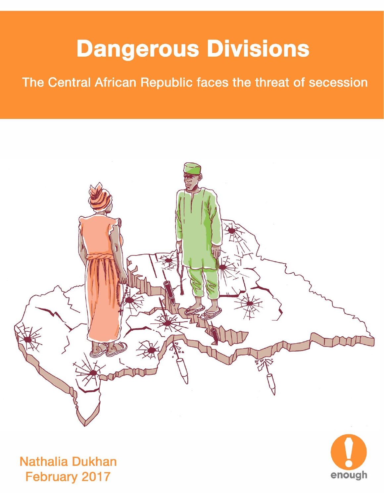## **Dangerous Divisions**

## The Central African Republic faces the threat of secession





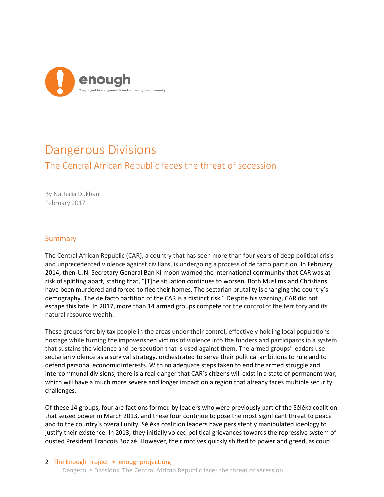

## Dangerous Divisions The Central African Republic faces the threat of secession

By Nathalia Dukhan February 2017

## Summary

The Central African Republic (CAR), a country that has seen more than four years of deep political crisis and unprecedented violence against civilians, is undergoing a process of de facto partition. In February 2014, then-U.N. Secretary-General Ban Ki-moon warned the international community that CAR was at risk of splitting apart, stating that, "[T]he situation continues to worsen. Both Muslims and Christians have been murdered and forced to flee their homes. The sectarian brutality is changing the country's demography. The de facto partition of the CAR is a distinct risk." Despite his warning, CAR did not escape this fate. In 2017, more than 14 armed groups compete for the control of the territory and its natural resource wealth.

These groups forcibly tax people in the areas under their control, effectively holding local populations hostage while turning the impoverished victims of violence into the funders and participants in a system that sustains the violence and persecution that is used against them. The armed groups' leaders use sectarian violence as a survival strategy, orchestrated to serve their political ambitions to rule and to defend personal economic interests. With no adequate steps taken to end the armed struggle and intercommunal divisions, there is a real danger that CAR's citizens will exist in a state of permanent war, which will have a much more severe and longer impact on a region that already faces multiple security challenges.

Of these 14 groups, four are factions formed by leaders who were previously part of the Séléka coalition that seized power in March 2013, and these four continue to pose the most significant threat to peace and to the country's overall unity. Séléka coalition leaders have persistently manipulated ideology to justify their existence. In 2013, they initially voiced political grievances towards the repressive system of ousted President Francois Bozizé. However, their motives quickly shifted to power and greed, as coup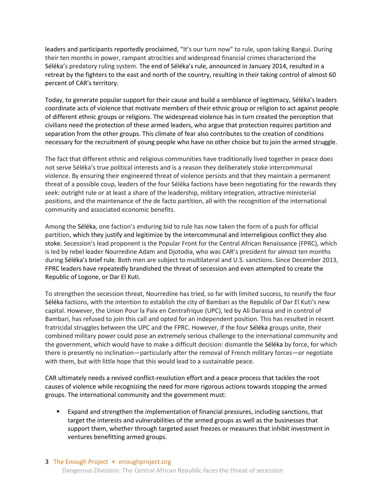leaders and participants reportedly proclaimed, "It's our turn now" to rule, upon taking Bangui. During their ten months in power, rampant atrocities and widespread financial crimes characterized the Séléka's predatory ruling system. The end of Séléka's rule, announced in January 2014, resulted in a retreat by the fighters to the east and north of the country, resulting in their taking control of almost 60 percent of CAR's territory.

Today, to generate popular support for their cause and build a semblance of legitimacy, Séléka's leaders coordinate acts of violence that motivate members of their ethnic group or religion to act against people of different ethnic groups or religions. The widespread violence has in turn created the perception that civilians need the protection of these armed leaders, who argue that protection requires partition and separation from the other groups. This climate of fear also contributes to the creation of conditions necessary for the recruitment of young people who have no other choice but to join the armed struggle.

The fact that different ethnic and religious communities have traditionally lived together in peace does not serve Séléka's true political interests and is a reason they deliberately stoke intercommunal violence. By ensuring their engineered threat of violence persists and that they maintain a permanent threat of a possible coup, leaders of the four Séléka factions have been negotiating for the rewards they seek: outright rule or at least a share of the leadership, military integration, attractive ministerial positions, and the maintenance of the de facto partition, all with the recognition of the international community and associated economic benefits.

Among the Séléka, one faction's enduring bid to rule has now taken the form of a push for official partition, which they justify and legitimize by the intercommunal and interreligious conflict they also stoke. Secession's lead proponent is the Popular Front for the Central African Renaissance (FPRC), which is led by rebel leader Nourredine Adam and Djotodia, who was CAR's president for almost ten months during Séléka's brief rule. Both men are subject to multilateral and U.S. sanctions. Since December 2013, FPRC leaders have repeatedly brandished the threat of secession and even attempted to create the Republic of Logone, or Dar El Kuti.

To strengthen the secession threat, Nourredine has tried, so far with limited success, to reunify the four Séléka factions, with the intention to establish the city of Bambari as the Republic of Dar El Kuti's new capital. However, the Union Pour la Paix en Centrafrique (UPC), led by Ali Darassa and in control of Bambari, has refused to join this call and opted for an independent position. This has resulted in recent fratricidal struggles between the UPC and the FPRC. However, if the four Séléka groups unite, their combined military power could pose an extremely serious challenge to the international community and the government, which would have to make a difficult decision: dismantle the Séléka by force, for which there is presently no inclination—particularly after the removal of French military forces—or negotiate with them, but with little hope that this would lead to a sustainable peace.

CAR ultimately needs a revived conflict-resolution effort and a peace process that tackles the root causes of violence while recognizing the need for more rigorous actions towards stopping the armed groups. The international community and the government must:

 Expand and strengthen the implementation of financial pressures, including sanctions, that target the interests and vulnerabilities of the armed groups as well as the businesses that support them, whether through targeted asset freezes or measures that inhibit investment in ventures benefitting armed groups.